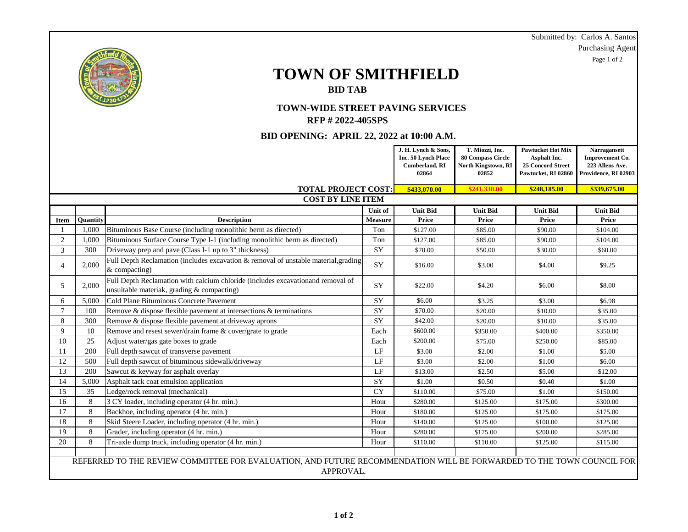|                                           |                 |                                                                                                                      |                 |                       |                          |                          | Submitted by: Carlos A. Santos |
|-------------------------------------------|-----------------|----------------------------------------------------------------------------------------------------------------------|-----------------|-----------------------|--------------------------|--------------------------|--------------------------------|
|                                           |                 |                                                                                                                      |                 |                       |                          |                          | <b>Purchasing Agent</b>        |
|                                           |                 |                                                                                                                      |                 |                       |                          |                          | Page 1 of 2                    |
|                                           |                 |                                                                                                                      |                 |                       |                          |                          |                                |
|                                           |                 | <b>TOWN OF SMITHFIELD</b>                                                                                            |                 |                       |                          |                          |                                |
|                                           |                 | <b>BID TAB</b>                                                                                                       |                 |                       |                          |                          |                                |
|                                           |                 |                                                                                                                      |                 |                       |                          |                          |                                |
| <b>TOWN-WIDE STREET PAVING SERVICES</b>   |                 |                                                                                                                      |                 |                       |                          |                          |                                |
| <b>RFP #2022-405SPS</b>                   |                 |                                                                                                                      |                 |                       |                          |                          |                                |
|                                           |                 |                                                                                                                      |                 |                       |                          |                          |                                |
| BID OPENING: APRIL 22, 2022 at 10:00 A.M. |                 |                                                                                                                      |                 |                       |                          |                          |                                |
|                                           |                 |                                                                                                                      |                 | J. H. Lynch & Sons,   | T. Miozzi, Inc.          | <b>Pawtucket Hot Mix</b> | Narragansett                   |
|                                           |                 |                                                                                                                      |                 | Inc. 50 Lynch Place   | <b>80 Compass Circle</b> | Asphalt Inc.             | Improvement Co.                |
|                                           |                 |                                                                                                                      |                 | <b>Cumberland, RI</b> | North Kingstown, RI      | 25 Concord Street        | 223 Allens Ave.                |
|                                           |                 |                                                                                                                      |                 | 02864                 | 02852                    | Pawtucket, RI 02860      | Providence, RI 02903           |
|                                           |                 | <b>TOTAL PROJECT COST:</b>                                                                                           |                 | \$433,070.00          | \$241,330.00             | \$248,185.00             | \$339,675.00                   |
| <b>COST BY LINE ITEM</b>                  |                 |                                                                                                                      |                 |                       |                          |                          |                                |
|                                           |                 |                                                                                                                      | Unit of         | <b>Unit Bid</b>       | <b>Unit Bid</b>          | <b>Unit Bid</b>          | <b>Unit Bid</b>                |
| <b>Item</b>                               | <b>Ouantity</b> | <b>Description</b>                                                                                                   | <b>Measure</b>  | Price                 | Price                    | Price                    | Price                          |
| 1                                         | 1,000           | Bituminous Base Course (including monolithic berm as directed)                                                       | Ton             | \$127.00              | \$85.00                  | \$90.00                  | \$104.00                       |
| 2                                         | 1,000           | Bituminous Surface Course Type I-1 (including monolithic berm as directed)                                           | Ton             | \$127.00              | \$85.00                  | \$90.00                  | \$104.00                       |
| $\mathfrak{Z}$                            | 300             | Driveway prep and pave (Class I-1 up to 3" thickness)                                                                | SY              | \$70.00               | \$50.00                  | \$30.00                  | \$60.00                        |
| $\overline{4}$                            | 2,000           | Full Depth Reclamation (includes excavation & removal of unstable material, grading<br>& compacting)                 | SY              | \$16.00               | \$3.00                   | \$4.00                   | \$9.25                         |
| 5                                         | 2,000           | Full Depth Reclamation with calcium chloride (includes excavationand removal of                                      |                 |                       |                          |                          | \$8.00                         |
|                                           |                 | unsuitable materiak, grading & compacting)                                                                           | SY              | \$22.00               | \$4.20                   | \$6.00                   |                                |
| 6                                         | 5,000           | Cold Plane Bituminous Concrete Pavement                                                                              | SY              | \$6.00                | \$3.25                   | \$3.00                   | \$6.98                         |
| $7\phantom{.0}$                           | 100             | Remove & dispose flexible pavement at intersections & terminations                                                   | SY              | \$70.00               | \$20.00                  | \$10.00                  | \$35.00                        |
| 8                                         | 300             | Remove & dispose flexible pavement at driveway aprons                                                                | <b>SY</b>       | \$42.00               | \$20.00                  | \$10.00                  | \$35.00                        |
| 9                                         | 10              | Remove and resest sewer/drain frame & cover/grate to grade                                                           | Each            | \$600.00              | \$350.00                 | \$400.00                 | \$350.00                       |
| 10                                        | 25              | Adjust water/gas gate boxes to grade                                                                                 | Each            | \$200.00              | \$75.00                  | \$250.00                 | \$85.00                        |
| 11                                        | 200             | Full depth sawcut of transverse pavement                                                                             | LF              | \$3.00                | \$2.00                   | \$1.00                   | \$5.00                         |
| 12                                        | 500             | Full depth sawcut of bituminous sidewalk/driveway                                                                    | LF              | \$3.00                | \$2.00                   | \$1.00                   | \$6.00                         |
| 13                                        | 200             | Sawcut & keyway for asphalt overlay                                                                                  | $\rm LF$        | \$13.00               | \$2.50                   | \$5.00                   | \$12.00                        |
| 14                                        | 5,000           | Asphalt tack coat emulsion application                                                                               | $\overline{SY}$ | \$1.00                | \$0.50                   | \$0.40                   | \$1.00                         |
| 15                                        | 35              | Ledge/rock removal (mechanical)                                                                                      | $\overline{CY}$ | \$110.00              | \$75.00                  | \$1.00                   | \$150.00                       |
| 16                                        | 8               | 3 CY loader, including operator (4 hr. min.)                                                                         | Hour            | \$280.00              | \$125.00                 | \$175.00                 | \$300.00                       |
| 17                                        | 8               | Backhoe, including operator (4 hr. min.)                                                                             | Hour            | \$180.00              | \$125.00                 | \$175.00                 | \$175.00                       |
| 18                                        | 8               | Skid Steere Loader, including operator (4 hr. min.)                                                                  | Hour            | \$140.00              | \$125.00                 | \$100.00                 | \$125.00                       |
| 19                                        | 8               | Grader, including operator (4 hr. min.)                                                                              | Hour            | \$280.00              | \$175.00                 | \$200.00                 | \$285.00                       |
| 20                                        | $\,8\,$         | Tri-axle dump truck, including operator (4 hr. min.)                                                                 | Hour            | \$110.00              | \$110.00                 | \$125.00                 | \$115.00                       |
|                                           |                 |                                                                                                                      |                 |                       |                          |                          |                                |
|                                           |                 | REFERRED TO THE REVIEW COMMITTEE FOR EVALUATION, AND FUTURE RECOMMENDATION WILL BE FORWARDED TO THE TOWN COUNCIL FOR |                 |                       |                          |                          |                                |
|                                           |                 | APPROVAL.                                                                                                            |                 |                       |                          |                          |                                |